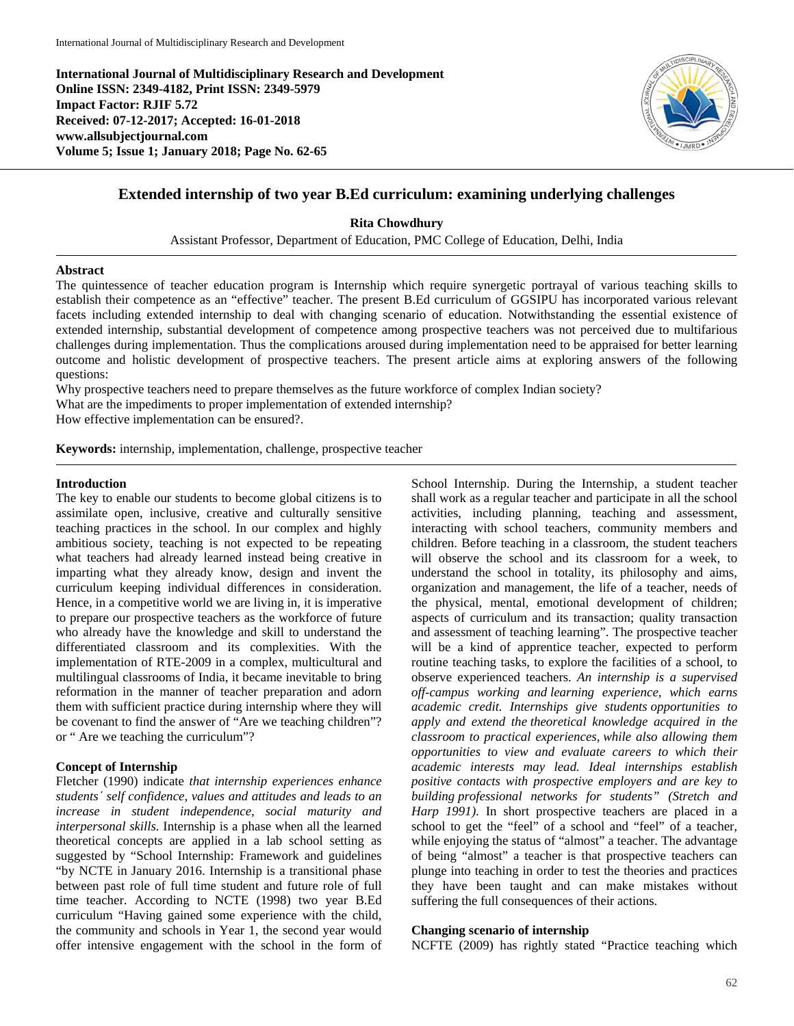**International Journal of Multidisciplinary Research and Development Online ISSN: 2349-4182, Print ISSN: 2349-5979 Impact Factor: RJIF 5.72 Received: 07-12-2017; Accepted: 16-01-2018 www.allsubjectjournal.com Volume 5; Issue 1; January 2018; Page No. 62-65**



## **Extended internship of two year B.Ed curriculum: examining underlying challenges**

**Rita Chowdhury**

Assistant Professor, Department of Education, PMC College of Education, Delhi, India

#### **Abstract**

The quintessence of teacher education program is Internship which require synergetic portrayal of various teaching skills to establish their competence as an "effective" teacher. The present B.Ed curriculum of GGSIPU has incorporated various relevant facets including extended internship to deal with changing scenario of education. Notwithstanding the essential existence of extended internship, substantial development of competence among prospective teachers was not perceived due to multifarious challenges during implementation. Thus the complications aroused during implementation need to be appraised for better learning outcome and holistic development of prospective teachers. The present article aims at exploring answers of the following questions:

Why prospective teachers need to prepare themselves as the future workforce of complex Indian society?

What are the impediments to proper implementation of extended internship?

How effective implementation can be ensured?.

**Keywords:** internship, implementation, challenge, prospective teacher

## **Introduction**

The key to enable our students to become global citizens is to assimilate open, inclusive, creative and culturally sensitive teaching practices in the school. In our complex and highly ambitious society, teaching is not expected to be repeating what teachers had already learned instead being creative in imparting what they already know, design and invent the curriculum keeping individual differences in consideration. Hence, in a competitive world we are living in, it is imperative to prepare our prospective teachers as the workforce of future who already have the knowledge and skill to understand the differentiated classroom and its complexities. With the implementation of RTE-2009 in a complex, multicultural and multilingual classrooms of India, it became inevitable to bring reformation in the manner of teacher preparation and adorn them with sufficient practice during internship where they will be covenant to find the answer of "Are we teaching children"? or " Are we teaching the curriculum"?

### **Concept of Internship**

Fletcher (1990) indicate *that internship experiences enhance students´ self confidence, values and attitudes and leads to an increase in student independence, social maturity and interpersonal skills.* Internship is a phase when all the learned theoretical concepts are applied in a lab school setting as suggested by "School Internship: Framework and guidelines "by NCTE in January 2016. Internship is a transitional phase between past role of full time student and future role of full time teacher. According to NCTE (1998) two year B.Ed curriculum "Having gained some experience with the child, the community and schools in Year 1, the second year would offer intensive engagement with the school in the form of

School Internship. During the Internship, a student teacher shall work as a regular teacher and participate in all the school activities, including planning, teaching and assessment, interacting with school teachers, community members and children. Before teaching in a classroom, the student teachers will observe the school and its classroom for a week, to understand the school in totality, its philosophy and aims, organization and management, the life of a teacher, needs of the physical, mental, emotional development of children; aspects of curriculum and its transaction; quality transaction and assessment of teaching learning". The prospective teacher will be a kind of apprentice teacher, expected to perform routine teaching tasks, to explore the facilities of a school, to observe experienced teachers. *An internship is a supervised off-campus working and learning experience, which earns academic credit. Internships give students opportunities to apply and extend the theoretical knowledge acquired in the classroom to practical experiences, while also allowing them opportunities to view and evaluate careers to which their academic interests may lead. Ideal internships establish positive contacts with prospective employers and are key to building professional networks for students" (Stretch and Harp 1991)*. In short prospective teachers are placed in a school to get the "feel" of a school and "feel" of a teacher, while enjoying the status of "almost" a teacher. The advantage of being "almost" a teacher is that prospective teachers can plunge into teaching in order to test the theories and practices they have been taught and can make mistakes without suffering the full consequences of their actions.

#### **Changing scenario of internship**

NCFTE (2009) has rightly stated "Practice teaching which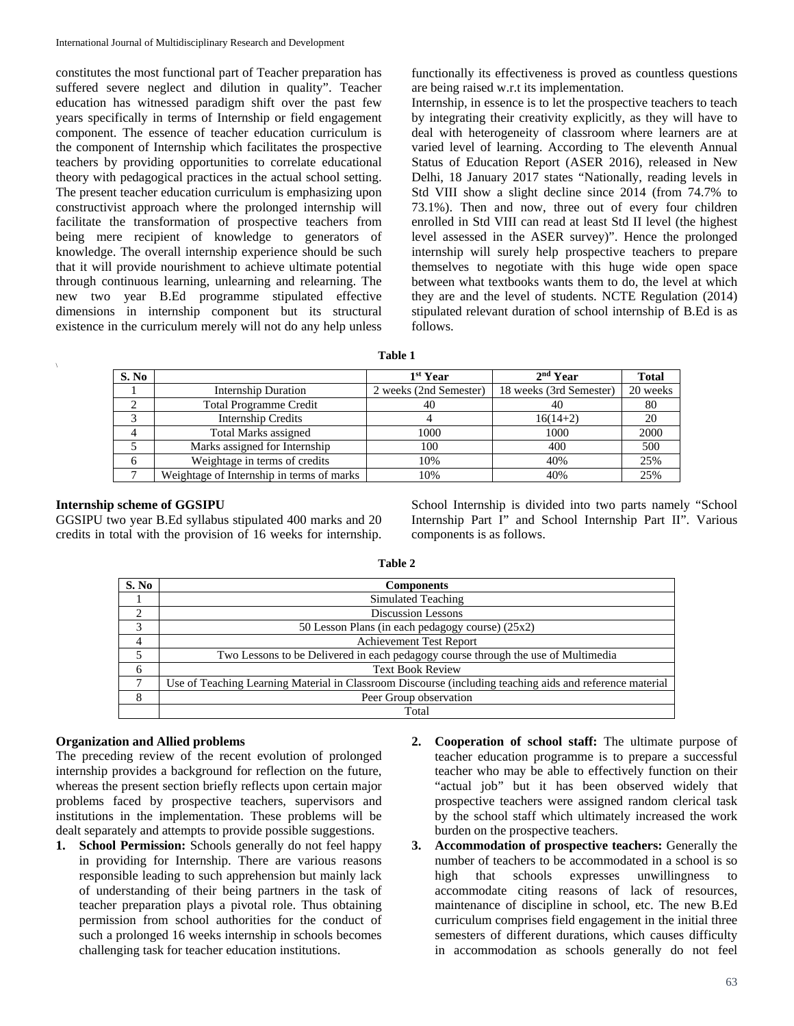constitutes the most functional part of Teacher preparation has suffered severe neglect and dilution in quality". Teacher education has witnessed paradigm shift over the past few years specifically in terms of Internship or field engagement component. The essence of teacher education curriculum is the component of Internship which facilitates the prospective teachers by providing opportunities to correlate educational theory with pedagogical practices in the actual school setting. The present teacher education curriculum is emphasizing upon constructivist approach where the prolonged internship will facilitate the transformation of prospective teachers from being mere recipient of knowledge to generators of knowledge. The overall internship experience should be such that it will provide nourishment to achieve ultimate potential through continuous learning, unlearning and relearning. The new two year B.Ed programme stipulated effective dimensions in internship component but its structural existence in the curriculum merely will not do any help unless functionally its effectiveness is proved as countless questions are being raised w.r.t its implementation.

Internship, in essence is to let the prospective teachers to teach by integrating their creativity explicitly, as they will have to deal with heterogeneity of classroom where learners are at varied level of learning. According to The eleventh Annual Status of Education Report (ASER 2016), released in New Delhi, 18 January 2017 states "Nationally, reading levels in Std VIII show a slight decline since 2014 (from 74.7% to 73.1%). Then and now, three out of every four children enrolled in Std VIII can read at least Std II level (the highest level assessed in the ASER survey)". Hence the prolonged internship will surely help prospective teachers to prepare themselves to negotiate with this huge wide open space between what textbooks wants them to do, the level at which they are and the level of students. NCTE Regulation (2014) stipulated relevant duration of school internship of B.Ed is as follows.

| able |  |
|------|--|
|------|--|

| S. No        |                                           | 1 <sup>st</sup> Year   | $2nd$ Year              | <b>Total</b> |
|--------------|-------------------------------------------|------------------------|-------------------------|--------------|
|              | <b>Internship Duration</b>                | 2 weeks (2nd Semester) | 18 weeks (3rd Semester) | 20 weeks     |
| ◠            | <b>Total Programme Credit</b>             | 40                     | 40                      | 80           |
|              | <b>Internship Credits</b>                 |                        | $16(14+2)$              | 20           |
|              | <b>Total Marks assigned</b>               | 1000                   | 1000                    | 2000         |
|              | Marks assigned for Internship             | 100                    | 400                     | 500          |
| <sub>6</sub> | Weightage in terms of credits             | 10%                    | 40%                     | 25%          |
|              | Weightage of Internship in terms of marks | 10%                    | 40%                     | 25%          |

## **Internship scheme of GGSIPU**

 $\sqrt{2}$ 

GGSIPU two year B.Ed syllabus stipulated 400 marks and 20 credits in total with the provision of 16 weeks for internship.

School Internship is divided into two parts namely "School Internship Part I" and School Internship Part II". Various components is as follows.

| .,<br>v<br>۰.<br>I |  |
|--------------------|--|
|--------------------|--|

| S. No          | <b>Components</b>                                                                                        |
|----------------|----------------------------------------------------------------------------------------------------------|
|                | Simulated Teaching                                                                                       |
| ∍              | <b>Discussion Lessons</b>                                                                                |
| 3              | 50 Lesson Plans (in each pedagogy course) (25x2)                                                         |
| $\overline{4}$ | <b>Achievement Test Report</b>                                                                           |
|                | Two Lessons to be Delivered in each pedagogy course through the use of Multimedia                        |
| 6              | <b>Text Book Review</b>                                                                                  |
|                | Use of Teaching Learning Material in Classroom Discourse (including teaching aids and reference material |
|                | Peer Group observation                                                                                   |
|                | Total                                                                                                    |

### **Organization and Allied problems**

The preceding review of the recent evolution of prolonged internship provides a background for reflection on the future, whereas the present section briefly reflects upon certain major problems faced by prospective teachers, supervisors and institutions in the implementation. These problems will be dealt separately and attempts to provide possible suggestions.

- **1. School Permission:** Schools generally do not feel happy in providing for Internship. There are various reasons responsible leading to such apprehension but mainly lack of understanding of their being partners in the task of teacher preparation plays a pivotal role. Thus obtaining permission from school authorities for the conduct of such a prolonged 16 weeks internship in schools becomes challenging task for teacher education institutions.
- **2. Cooperation of school staff:** The ultimate purpose of teacher education programme is to prepare a successful teacher who may be able to effectively function on their "actual job" but it has been observed widely that prospective teachers were assigned random clerical task by the school staff which ultimately increased the work burden on the prospective teachers.
- **3. Accommodation of prospective teachers:** Generally the number of teachers to be accommodated in a school is so high that schools expresses unwillingness to accommodate citing reasons of lack of resources, maintenance of discipline in school, etc. The new B.Ed curriculum comprises field engagement in the initial three semesters of different durations, which causes difficulty in accommodation as schools generally do not feel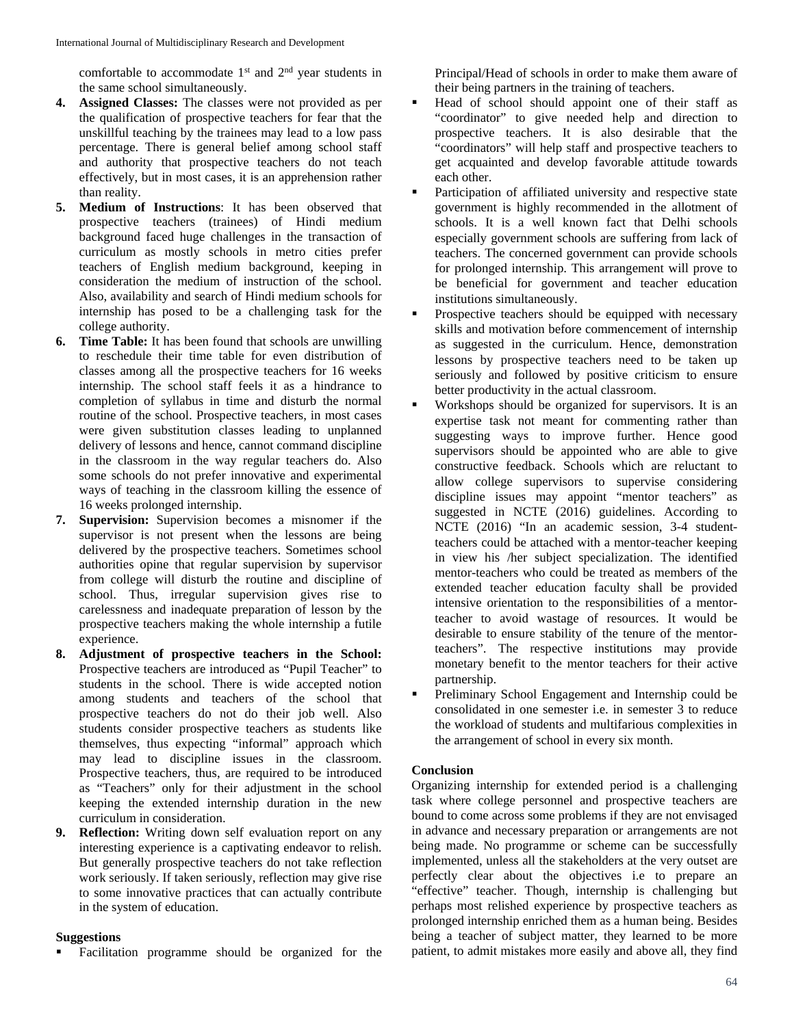comfortable to accommodate  $1<sup>st</sup>$  and  $2<sup>nd</sup>$  year students in the same school simultaneously.

- **4. Assigned Classes:** The classes were not provided as per the qualification of prospective teachers for fear that the unskillful teaching by the trainees may lead to a low pass percentage. There is general belief among school staff and authority that prospective teachers do not teach effectively, but in most cases, it is an apprehension rather than reality.
- **5. Medium of Instructions**: It has been observed that prospective teachers (trainees) of Hindi medium background faced huge challenges in the transaction of curriculum as mostly schools in metro cities prefer teachers of English medium background, keeping in consideration the medium of instruction of the school. Also, availability and search of Hindi medium schools for internship has posed to be a challenging task for the college authority.
- **6. Time Table:** It has been found that schools are unwilling to reschedule their time table for even distribution of classes among all the prospective teachers for 16 weeks internship. The school staff feels it as a hindrance to completion of syllabus in time and disturb the normal routine of the school. Prospective teachers, in most cases were given substitution classes leading to unplanned delivery of lessons and hence, cannot command discipline in the classroom in the way regular teachers do. Also some schools do not prefer innovative and experimental ways of teaching in the classroom killing the essence of 16 weeks prolonged internship.
- **7. Supervision:** Supervision becomes a misnomer if the supervisor is not present when the lessons are being delivered by the prospective teachers. Sometimes school authorities opine that regular supervision by supervisor from college will disturb the routine and discipline of school. Thus, irregular supervision gives rise to carelessness and inadequate preparation of lesson by the prospective teachers making the whole internship a futile experience.
- **8. Adjustment of prospective teachers in the School:** Prospective teachers are introduced as "Pupil Teacher" to students in the school. There is wide accepted notion among students and teachers of the school that prospective teachers do not do their job well. Also students consider prospective teachers as students like themselves, thus expecting "informal" approach which may lead to discipline issues in the classroom. Prospective teachers, thus, are required to be introduced as "Teachers" only for their adjustment in the school keeping the extended internship duration in the new curriculum in consideration.
- **9. Reflection:** Writing down self evaluation report on any interesting experience is a captivating endeavor to relish. But generally prospective teachers do not take reflection work seriously. If taken seriously, reflection may give rise to some innovative practices that can actually contribute in the system of education.

### **Suggestions**

Facilitation programme should be organized for the

Principal/Head of schools in order to make them aware of their being partners in the training of teachers.

- Head of school should appoint one of their staff as "coordinator" to give needed help and direction to prospective teachers. It is also desirable that the "coordinators" will help staff and prospective teachers to get acquainted and develop favorable attitude towards each other.
- Participation of affiliated university and respective state government is highly recommended in the allotment of schools. It is a well known fact that Delhi schools especially government schools are suffering from lack of teachers. The concerned government can provide schools for prolonged internship. This arrangement will prove to be beneficial for government and teacher education institutions simultaneously.
- Prospective teachers should be equipped with necessary skills and motivation before commencement of internship as suggested in the curriculum. Hence, demonstration lessons by prospective teachers need to be taken up seriously and followed by positive criticism to ensure better productivity in the actual classroom.
- Workshops should be organized for supervisors. It is an expertise task not meant for commenting rather than suggesting ways to improve further. Hence good supervisors should be appointed who are able to give constructive feedback. Schools which are reluctant to allow college supervisors to supervise considering discipline issues may appoint "mentor teachers" as suggested in NCTE (2016) guidelines. According to NCTE (2016) "In an academic session, 3-4 studentteachers could be attached with a mentor-teacher keeping in view his /her subject specialization. The identified mentor-teachers who could be treated as members of the extended teacher education faculty shall be provided intensive orientation to the responsibilities of a mentorteacher to avoid wastage of resources. It would be desirable to ensure stability of the tenure of the mentorteachers". The respective institutions may provide monetary benefit to the mentor teachers for their active partnership.
- Preliminary School Engagement and Internship could be consolidated in one semester i.e. in semester 3 to reduce the workload of students and multifarious complexities in the arrangement of school in every six month.

### **Conclusion**

Organizing internship for extended period is a challenging task where college personnel and prospective teachers are bound to come across some problems if they are not envisaged in advance and necessary preparation or arrangements are not being made. No programme or scheme can be successfully implemented, unless all the stakeholders at the very outset are perfectly clear about the objectives i.e to prepare an "effective" teacher. Though, internship is challenging but perhaps most relished experience by prospective teachers as prolonged internship enriched them as a human being. Besides being a teacher of subject matter, they learned to be more patient, to admit mistakes more easily and above all, they find